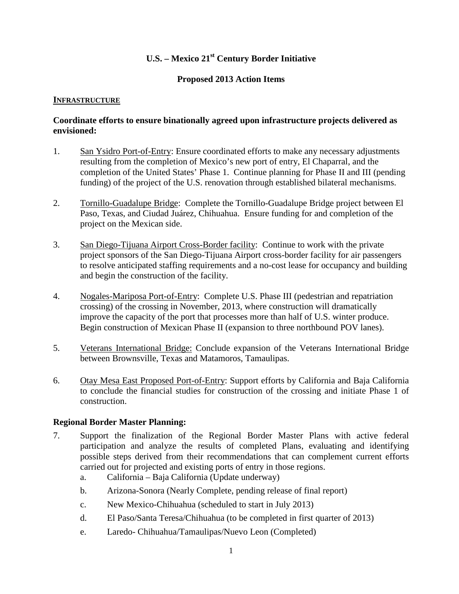## **U.S. – Mexico 21st Century Border Initiative**

#### **Proposed 2013 Action Items**

#### **INFRASTRUCTURE**

#### **Coordinate efforts to ensure binationally agreed upon infrastructure projects delivered as envisioned:**

- 1. San Ysidro Port-of-Entry: Ensure coordinated efforts to make any necessary adjustments resulting from the completion of Mexico's new port of entry, El Chaparral, and the completion of the United States' Phase 1. Continue planning for Phase II and III (pending funding) of the project of the U.S. renovation through established bilateral mechanisms.
- 2. Tornillo-Guadalupe Bridge: Complete the Tornillo-Guadalupe Bridge project between El Paso, Texas, and Ciudad Juárez, Chihuahua. Ensure funding for and completion of the project on the Mexican side.
- 3. San Diego-Tijuana Airport Cross-Border facility: Continue to work with the private project sponsors of the San Diego-Tijuana Airport cross-border facility for air passengers to resolve anticipated staffing requirements and a no-cost lease for occupancy and building and begin the construction of the facility.
- 4. Nogales-Mariposa Port-of-Entry: Complete U.S. Phase III (pedestrian and repatriation crossing) of the crossing in November, 2013, where construction will dramatically improve the capacity of the port that processes more than half of U.S. winter produce. Begin construction of Mexican Phase II (expansion to three northbound POV lanes).
- 5. Veterans International Bridge: Conclude expansion of the Veterans International Bridge between Brownsville, Texas and Matamoros, Tamaulipas.
- 6. Otay Mesa East Proposed Port-of-Entry: Support efforts by California and Baja California to conclude the financial studies for construction of the crossing and initiate Phase 1 of construction.

#### **Regional Border Master Planning:**

- 7. Support the finalization of the Regional Border Master Plans with active federal participation and analyze the results of completed Plans, evaluating and identifying possible steps derived from their recommendations that can complement current efforts carried out for projected and existing ports of entry in those regions.
	- a. California Baja California (Update underway)
	- b. Arizona-Sonora (Nearly Complete, pending release of final report)
	- c. New Mexico-Chihuahua (scheduled to start in July 2013)
	- d. El Paso/Santa Teresa/Chihuahua (to be completed in first quarter of 2013)
	- e. Laredo- Chihuahua/Tamaulipas/Nuevo Leon (Completed)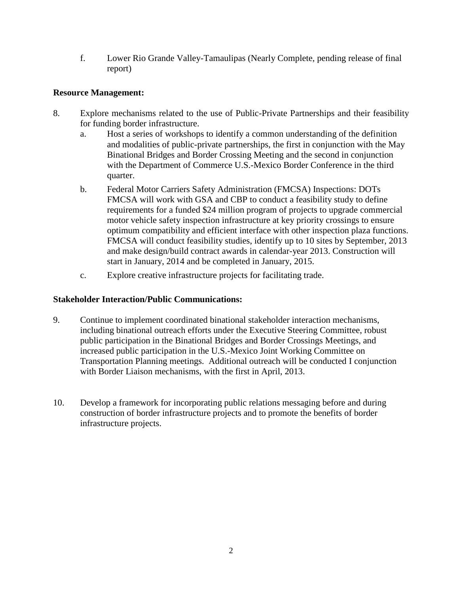f. Lower Rio Grande Valley-Tamaulipas (Nearly Complete, pending release of final report)

## **Resource Management:**

- 8. Explore mechanisms related to the use of Public-Private Partnerships and their feasibility for funding border infrastructure.
	- a. Host a series of workshops to identify a common understanding of the definition and modalities of public-private partnerships, the first in conjunction with the May Binational Bridges and Border Crossing Meeting and the second in conjunction with the Department of Commerce U.S.-Mexico Border Conference in the third quarter.
	- b. Federal Motor Carriers Safety Administration (FMCSA) Inspections: DOTs FMCSA will work with GSA and CBP to conduct a feasibility study to define requirements for a funded \$24 million program of projects to upgrade commercial motor vehicle safety inspection infrastructure at key priority crossings to ensure optimum compatibility and efficient interface with other inspection plaza functions. FMCSA will conduct feasibility studies, identify up to 10 sites by September, 2013 and make design/build contract awards in calendar-year 2013. Construction will start in January, 2014 and be completed in January, 2015.
	- c. Explore creative infrastructure projects for facilitating trade.

#### **Stakeholder Interaction/Public Communications:**

- 9. Continue to implement coordinated binational stakeholder interaction mechanisms, including binational outreach efforts under the Executive Steering Committee, robust public participation in the Binational Bridges and Border Crossings Meetings, and increased public participation in the U.S.-Mexico Joint Working Committee on Transportation Planning meetings. Additional outreach will be conducted I conjunction with Border Liaison mechanisms, with the first in April, 2013.
- 10. Develop a framework for incorporating public relations messaging before and during construction of border infrastructure projects and to promote the benefits of border infrastructure projects.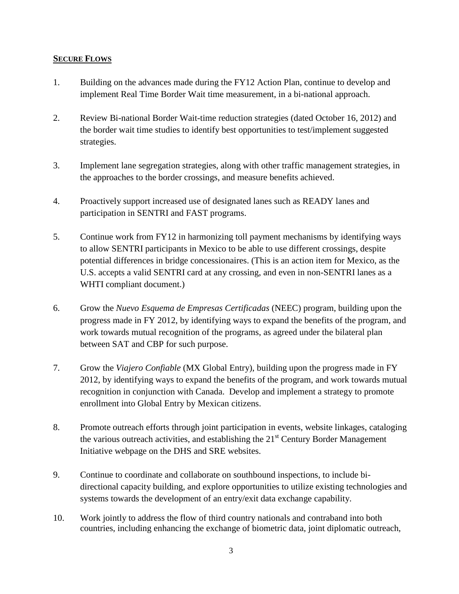#### **SECURE FLOWS**

- 1. Building on the advances made during the FY12 Action Plan, continue to develop and implement Real Time Border Wait time measurement, in a bi-national approach.
- 2. Review Bi-national Border Wait-time reduction strategies (dated October 16, 2012) and the border wait time studies to identify best opportunities to test/implement suggested strategies.
- 3. Implement lane segregation strategies, along with other traffic management strategies, in the approaches to the border crossings, and measure benefits achieved.
- 4. Proactively support increased use of designated lanes such as READY lanes and participation in SENTRI and FAST programs.
- 5. Continue work from FY12 in harmonizing toll payment mechanisms by identifying ways to allow SENTRI participants in Mexico to be able to use different crossings, despite potential differences in bridge concessionaires. (This is an action item for Mexico, as the U.S. accepts a valid SENTRI card at any crossing, and even in non-SENTRI lanes as a WHTI compliant document.)
- 6. Grow the *Nuevo Esquema de Empresas Certificadas* (NEEC) program, building upon the progress made in FY 2012, by identifying ways to expand the benefits of the program, and work towards mutual recognition of the programs, as agreed under the bilateral plan between SAT and CBP for such purpose.
- 7. Grow the *Viajero Confiable* (MX Global Entry), building upon the progress made in FY 2012, by identifying ways to expand the benefits of the program, and work towards mutual recognition in conjunction with Canada. Develop and implement a strategy to promote enrollment into Global Entry by Mexican citizens.
- 8. Promote outreach efforts through joint participation in events, website linkages, cataloging the various outreach activities, and establishing the  $21<sup>st</sup>$  Century Border Management Initiative webpage on the DHS and SRE websites.
- 9. Continue to coordinate and collaborate on southbound inspections, to include bidirectional capacity building, and explore opportunities to utilize existing technologies and systems towards the development of an entry/exit data exchange capability.
- 10. Work jointly to address the flow of third country nationals and contraband into both countries, including enhancing the exchange of biometric data, joint diplomatic outreach,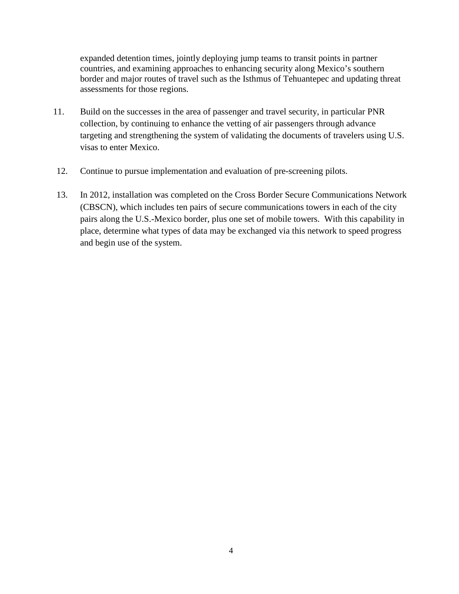expanded detention times, jointly deploying jump teams to transit points in partner countries, and examining approaches to enhancing security along Mexico's southern border and major routes of travel such as the Isthmus of Tehuantepec and updating threat assessments for those regions.

- 11. Build on the successes in the area of passenger and travel security, in particular PNR collection, by continuing to enhance the vetting of air passengers through advance targeting and strengthening the system of validating the documents of travelers using U.S. visas to enter Mexico.
- 12. Continue to pursue implementation and evaluation of pre-screening pilots.
- 13. In 2012, installation was completed on the Cross Border Secure Communications Network (CBSCN), which includes ten pairs of secure communications towers in each of the city pairs along the U.S.-Mexico border, plus one set of mobile towers. With this capability in place, determine what types of data may be exchanged via this network to speed progress and begin use of the system.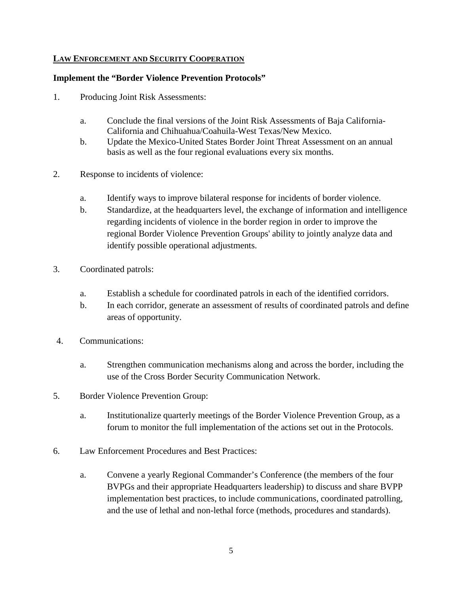## **LAW ENFORCEMENT AND SECURITY COOPERATION**

#### **Implement the "Border Violence Prevention Protocols"**

- 1. Producing Joint Risk Assessments:
	- a. Conclude the final versions of the Joint Risk Assessments of Baja California-California and Chihuahua/Coahuila-West Texas/New Mexico.
	- b. Update the Mexico-United States Border Joint Threat Assessment on an annual basis as well as the four regional evaluations every six months.
- 2. Response to incidents of violence:
	- a. Identify ways to improve bilateral response for incidents of border violence.
	- b. Standardize, at the headquarters level, the exchange of information and intelligence regarding incidents of violence in the border region in order to improve the regional Border Violence Prevention Groups' ability to jointly analyze data and identify possible operational adjustments.
- 3. Coordinated patrols:
	- a. Establish a schedule for coordinated patrols in each of the identified corridors.
	- b. In each corridor, generate an assessment of results of coordinated patrols and define areas of opportunity.
- 4. Communications:
	- a. Strengthen communication mechanisms along and across the border, including the use of the Cross Border Security Communication Network.
- 5. Border Violence Prevention Group:
	- a. Institutionalize quarterly meetings of the Border Violence Prevention Group, as a forum to monitor the full implementation of the actions set out in the Protocols.
- 6. Law Enforcement Procedures and Best Practices:
	- a. Convene a yearly Regional Commander's Conference (the members of the four BVPGs and their appropriate Headquarters leadership) to discuss and share BVPP implementation best practices, to include communications, coordinated patrolling, and the use of lethal and non-lethal force (methods, procedures and standards).